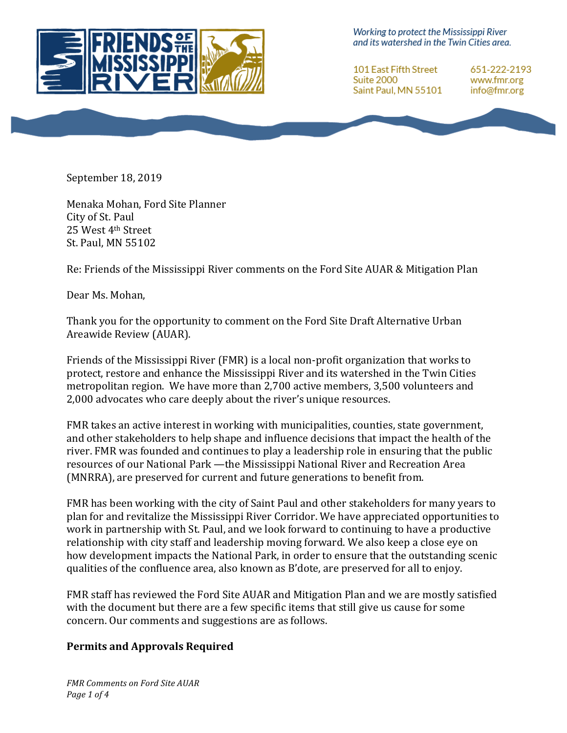

Working to protect the Mississippi River and its watershed in the Twin Cities area.

101 East Fifth Street **Suite 2000** Saint Paul, MN 55101

651-222-2193 www.fmr.org info@fmr.org

September 18, 2019

Menaka Mohan, Ford Site Planner City of St. Paul 25 West 4th Street St. Paul, MN 55102

Re: Friends of the Mississippi River comments on the Ford Site AUAR & Mitigation Plan

Dear Ms. Mohan,

Thank you for the opportunity to comment on the Ford Site Draft Alternative Urban Areawide Review (AUAR).

Friends of the Mississippi River (FMR) is a local non-profit organization that works to protect, restore and enhance the Mississippi River and its watershed in the Twin Cities metropolitan region. We have more than 2,700 active members, 3,500 volunteers and 2,000 advocates who care deeply about the river's unique resources.

FMR takes an active interest in working with municipalities, counties, state government, and other stakeholders to help shape and influence decisions that impact the health of the river. FMR was founded and continues to play a leadership role in ensuring that the public resources of our National Park —the Mississippi National River and Recreation Area (MNRRA), are preserved for current and future generations to benefit from.

FMR has been working with the city of Saint Paul and other stakeholders for many years to plan for and revitalize the Mississippi River Corridor. We have appreciated opportunities to work in partnership with St. Paul, and we look forward to continuing to have a productive relationship with city staff and leadership moving forward. We also keep a close eye on how development impacts the National Park, in order to ensure that the outstanding scenic qualities of the confluence area, also known as B'dote, are preserved for all to enjoy.

FMR staff has reviewed the Ford Site AUAR and Mitigation Plan and we are mostly satisfied with the document but there are a few specific items that still give us cause for some concern. Our comments and suggestions are as follows.

#### **Permits and Approvals Required**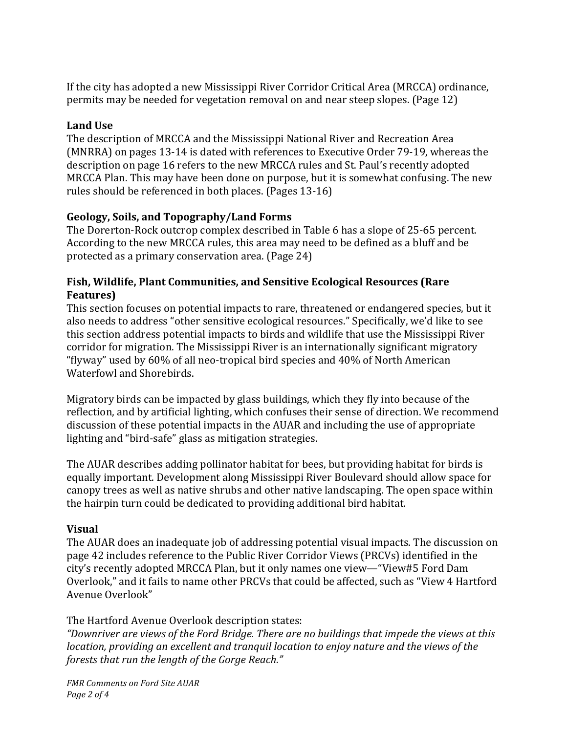If the city has adopted a new Mississippi River Corridor Critical Area (MRCCA) ordinance, permits may be needed for vegetation removal on and near steep slopes. (Page 12)

## **Land Use**

The description of MRCCA and the Mississippi National River and Recreation Area (MNRRA) on pages 13-14 is dated with references to Executive Order 79-19, whereas the description on page 16 refers to the new MRCCA rules and St. Paul's recently adopted MRCCA Plan. This may have been done on purpose, but it is somewhat confusing. The new rules should be referenced in both places. (Pages 13-16)

## Geology, Soils, and Topography/Land Forms

The Dorerton-Rock outcrop complex described in Table 6 has a slope of 25-65 percent. According to the new MRCCA rules, this area may need to be defined as a bluff and be protected as a primary conservation area. (Page 24)

# **Fish, Wildlife, Plant Communities, and Sensitive Ecological Resources (Rare Features)**

This section focuses on potential impacts to rare, threatened or endangered species, but it also needs to address "other sensitive ecological resources." Specifically, we'd like to see this section address potential impacts to birds and wildlife that use the Mississippi River corridor for migration. The Mississippi River is an internationally significant migratory "flyway" used by 60% of all neo-tropical bird species and 40% of North American Waterfowl and Shorebirds.

Migratory birds can be impacted by glass buildings, which they fly into because of the reflection, and by artificial lighting, which confuses their sense of direction. We recommend discussion of these potential impacts in the AUAR and including the use of appropriate lighting and "bird-safe" glass as mitigation strategies.

The AUAR describes adding pollinator habitat for bees, but providing habitat for birds is equally important. Development along Mississippi River Boulevard should allow space for canopy trees as well as native shrubs and other native landscaping. The open space within the hairpin turn could be dedicated to providing additional bird habitat.

### **Visual**

The AUAR does an inadequate job of addressing potential visual impacts. The discussion on page 42 includes reference to the Public River Corridor Views (PRCVs) identified in the city's recently adopted MRCCA Plan, but it only names one view—"View#5 Ford Dam Overlook," and it fails to name other PRCVs that could be affected, such as "View 4 Hartford Avenue Overlook"

# The Hartford Avenue Overlook description states:

"Downriver are views of the Ford Bridge. There are no buildings that impede the views at this *location, providing an excellent and tranquil location to enjoy nature and the views of the* forests that run the length of the Gorge Reach."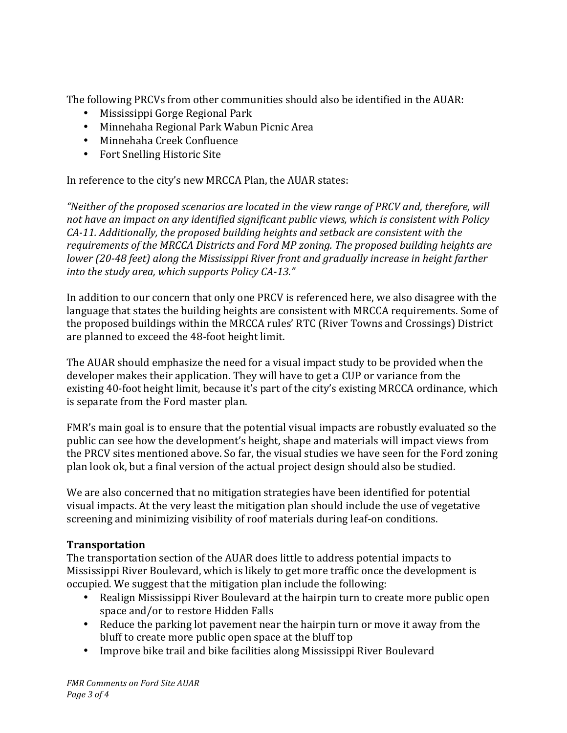The following PRCVs from other communities should also be identified in the AUAR:

- Mississippi Gorge Regional Park
- Minnehaha Regional Park Wabun Picnic Area
- Minnehaha Creek Confluence
- Fort Snelling Historic Site

In reference to the city's new MRCCA Plan, the AUAR states:

"Neither of the proposed scenarios are located in the view range of PRCV and, therefore, will not have an impact on any identified significant public views, which is consistent with Policy *CA-11.* Additionally, the proposed building heights and setback are consistent with the requirements of the MRCCA Districts and Ford MP zoning. The proposed building heights are *lower* (20-48 feet) along the Mississippi River front and gradually increase in height farther into the study area, which supports Policy CA-13."

In addition to our concern that only one PRCV is referenced here, we also disagree with the language that states the building heights are consistent with MRCCA requirements. Some of the proposed buildings within the MRCCA rules' RTC (River Towns and Crossings) District are planned to exceed the 48-foot height limit.

The AUAR should emphasize the need for a visual impact study to be provided when the developer makes their application. They will have to get a CUP or variance from the existing 40-foot height limit, because it's part of the city's existing MRCCA ordinance, which is separate from the Ford master plan.

FMR's main goal is to ensure that the potential visual impacts are robustly evaluated so the public can see how the development's height, shape and materials will impact views from the PRCV sites mentioned above. So far, the visual studies we have seen for the Ford zoning plan look ok, but a final version of the actual project design should also be studied.

We are also concerned that no mitigation strategies have been identified for potential visual impacts. At the very least the mitigation plan should include the use of vegetative screening and minimizing visibility of roof materials during leaf-on conditions.

### **Transportation**

The transportation section of the AUAR does little to address potential impacts to Mississippi River Boulevard, which is likely to get more traffic once the development is occupied. We suggest that the mitigation plan include the following:

- Realign Mississippi River Boulevard at the hairpin turn to create more public open space and/or to restore Hidden Falls
- Reduce the parking lot pavement near the hairpin turn or move it away from the bluff to create more public open space at the bluff top
- Improve bike trail and bike facilities along Mississippi River Boulevard